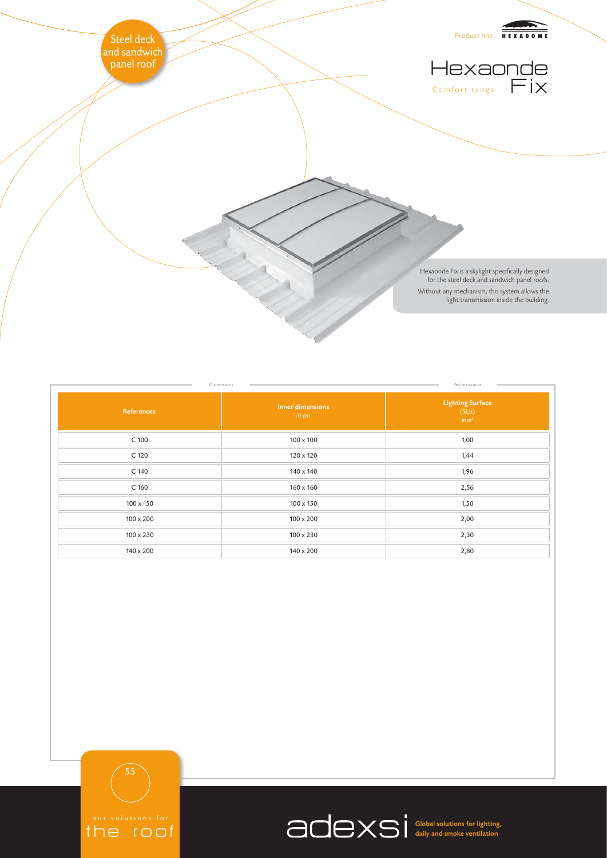

|                  | Dimensions                | Performances                                                                            |
|------------------|---------------------------|-----------------------------------------------------------------------------------------|
| References       | Inner dimensions<br>in cm | $\begin{array}{c} \textbf{Lighting Surface}\\ \textbf{(SLu)} \end{array}$<br>$\sin m^2$ |
| C 100            | $100 \times 100$          | 1,00                                                                                    |
| C 120            | 120 x 120                 | 1,44                                                                                    |
| C 140            | 140 x 140                 | 1,96                                                                                    |
| C 160            | $160 \times 160$          | 2,56                                                                                    |
| 100 x 150        | 100 x 150                 | 1,50                                                                                    |
| $100 \times 200$ | $100 \times 200$          | 2,00                                                                                    |
| 100 x 230        | $100 \times 230$          | 2,30                                                                                    |
| 140 x 200        | 140 x 200                 | 2,80                                                                                    |

55

the roof

Global solutions for lighting, daily and smoke ventilation